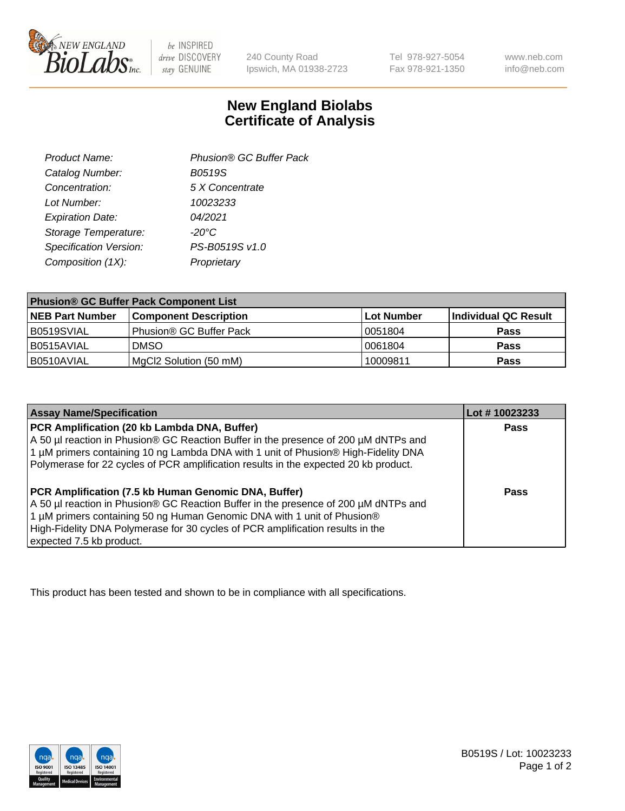

 $be$  INSPIRED drive DISCOVERY stay GENUINE

240 County Road Ipswich, MA 01938-2723

Tel 978-927-5054 Fax 978-921-1350 www.neb.com info@neb.com

## **New England Biolabs Certificate of Analysis**

| Phusion® GC Buffer Pack |
|-------------------------|
| <b>B0519S</b>           |
| 5 X Concentrate         |
| 10023233                |
| 04/2021                 |
| $-20^{\circ}$ C         |
| PS-B0519S v1.0          |
| Proprietary             |
|                         |

| <b>Phusion® GC Buffer Pack Component List</b> |                              |             |                      |  |
|-----------------------------------------------|------------------------------|-------------|----------------------|--|
| <b>NEB Part Number</b>                        | <b>Component Description</b> | ∣Lot Number | Individual QC Result |  |
| B0519SVIAL                                    | Phusion® GC Buffer Pack      | 10051804    | <b>Pass</b>          |  |
| B0515AVIAL                                    | <b>DMSO</b>                  | 10061804    | <b>Pass</b>          |  |
| B0510AVIAL                                    | MgCl2 Solution (50 mM)       | 10009811    | <b>Pass</b>          |  |

| <b>Assay Name/Specification</b>                                                                                                                                                                                                                                                                                                      | Lot #10023233 |
|--------------------------------------------------------------------------------------------------------------------------------------------------------------------------------------------------------------------------------------------------------------------------------------------------------------------------------------|---------------|
| PCR Amplification (20 kb Lambda DNA, Buffer)<br>A 50 µl reaction in Phusion® GC Reaction Buffer in the presence of 200 µM dNTPs and<br>1 μM primers containing 10 ng Lambda DNA with 1 unit of Phusion® High-Fidelity DNA<br>Polymerase for 22 cycles of PCR amplification results in the expected 20 kb product.                    | <b>Pass</b>   |
| PCR Amplification (7.5 kb Human Genomic DNA, Buffer)<br>A 50 µl reaction in Phusion® GC Reaction Buffer in the presence of 200 µM dNTPs and<br>1 µM primers containing 50 ng Human Genomic DNA with 1 unit of Phusion®<br>High-Fidelity DNA Polymerase for 30 cycles of PCR amplification results in the<br>expected 7.5 kb product. | Pass          |

This product has been tested and shown to be in compliance with all specifications.